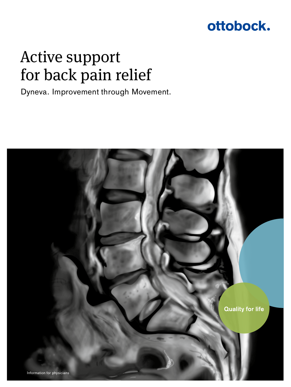# ottobock.

# Active support for back pain relief

Dyneva. Improvement through Movement.

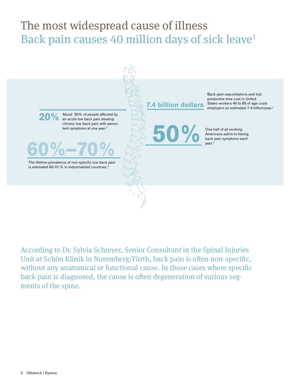## The most widespread cause of illness Back pain causes 40 million days of sick leave<sup>1</sup>



According to Dr. Sylvia Schreyer, Senior Consultant in the Spinal Injuries Unit at Schön Klinik in Nuremberg/Fürth, back pain is often non-specific, without any anatomical or functional cause. In those cases where specific back pain is diagnosed, the cause is often degeneration of various segments of the spine.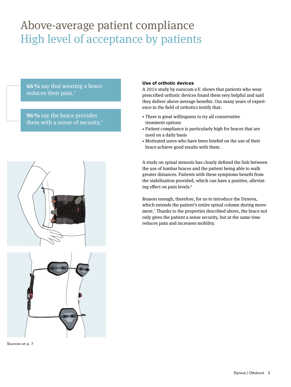## Above-average patient compliance High level of acceptance by patients

**66%** say that wearing a brace reduces their pain.<sup>5</sup>

**96%** say the brace provides them with a sense of security.<sup>5</sup>



Sources on p. 7

#### **Use of orthotic devices**

A 2014 study by eurocom e.V. shows that patients who wear prescribed orthotic devices found them very helpful and said they deliver above-average benefits. Our many years of experience in the field of orthotics testify that:

- There is great willingness to try all conservative treatment options
- Patient compliance is particularly high for braces that are used on a daily basis
- Motivated users who have been briefed on the use of their brace achieve good results with them.

A study on spinal stenosis has clearly defined the link between the use of lumbar braces and the patient being able to walk greater distances. Patients with these symptoms benefit from the stabilisation provided, which can have a positive, alleviating effect on pain levels.<sup>6</sup>

Reason enough, therefore, for us to introduce the Dyneva, which extends the patient's entire spinal column during movement.7 Thanks to the properties described above, the brace not only gives the patient a sense security, but at the same time reduces pain and increases mobility.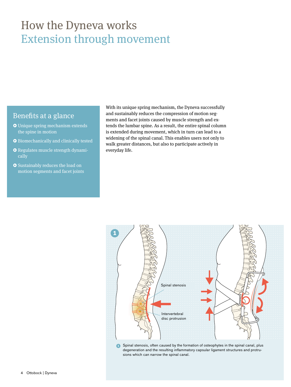## How the Dyneva works Extension through movement

#### Benefits at a glance

- Unique spring mechanism extends the spine in motion
- Biomechanically and clinically tested
- Regulates muscle strength dynamically
- Sustainably reduces the load on motion segments and facet joints

With its unique spring mechanism, the Dyneva successfully and sustainably reduces the compression of motion segments and facet joints caused by muscle strength and extends the lumbar spine. As a result, the entire spinal column is extended during movement, which in turn can lead to a widening of the spinal canal. This enables users not only to walk greater distances, but also to participate actively in everyday life.



Spinal stenosis, often caused by the formation of osteophytes in the spinal canal, plus degeneration and the resulting inflammatory capsular ligament structures and protrusions which can narrow the spinal canal. **1**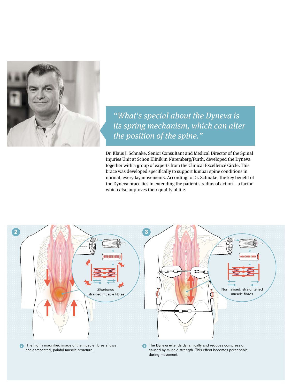

*"What's special about the Dyneva is its spring mechanism, which can alter the position of the spine."*

Dr. Klaus J. Schnake, Senior Consultant and Medical Director of the Spinal Injuries Unit at Schön Klinik in Nuremberg/Fürth, developed the Dyneva together with a group of experts from the Clinical Excellence Circle. This brace was developed specifically to support lumbar spine conditions in normal, everyday movements. According to Dr. Schnake, the key benefit of the Dyneva brace lies in extending the patient's radius of action – a factor which also improves their quality of life.



**2** The highly magnified image of the muscle fibres shows the compacted, painful muscle structure. **2** The highly magnified image of the muscle fibres shows **3** The Dyneva extends dynamically and reduces compression

caused by muscle strength. This effect becomes perceptible during movement.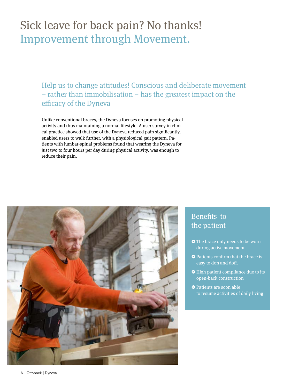### Sick leave for back pain? No thanks! Improvement through Movement.

Help us to change attitudes! Conscious and deliberate movement – rather than immobilisation – has the greatest impact on the efficacy of the Dyneva

Unlike conventional braces, the Dyneva focuses on promoting physical activity and thus maintaining a normal lifestyle. A user survey in clinical practice showed that use of the Dyneva reduced pain significantly, enabled users to walk further, with a physiological gait pattern. Patients with lumbar-spinal problems found that wearing the Dyneva for just two to four hours per day during physical activity, was enough to reduce their pain.



#### Benefits to the patient

- **•** The brace only needs to be worn during active movement
- Patients confirm that the brace is easy to don and doff.
- High patient compliance due to its open-back construction
- Patients are soon able to resume activities of daily living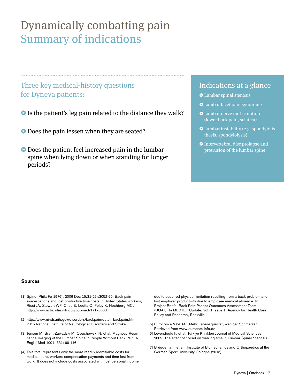### Dynamically combatting pain Summary of indications

#### Three key medical-history questions for Dyneva patients:

- Is the patient's leg pain related to the distance they walk?
- Does the pain lessen when they are seated?
- Does the patient feel increased pain in the lumbar spine when lying down or when standing for longer periods?

#### Indications at a glance

- **Lumbar spinal stenosis**
- Lumbar facet joint syndrome
- **Lumbar nerve root irritation** (lower back pain, sciatica)
- Lumbar instability (e.g. spondylolisthesis, spondylolysis)
- **•** Intervertebral disc prolapse and protrusion of the lumbar spine

#### **Sources**

- [1] Spine (Phila Pa 1976). 2006 Dec 15;31(26):3052-60, Back pain exacerbations and lost productive time costs in United States workers, Ricci JA, Stewart WF, Chee E, Leotta C, Foley K, Hochberg MC. http://www.ncbi. nlm.nih.gov/pubmed/17173003
- [2] http://www.ninds.nih.gov/disorders/backpain/detail\_backpain.htm 2015 National Institute of Neurological Disorders and Stroke
- [3] Jensen M, Brant-Zawadzki M, Obuchowski N, et al. Magnetic Resonance Imaging of the Lumbar Spine in People Without Back Pain. N Engl J Med 1994; 331: 69-116.
- [4] This total represents only the more readily identifiable costs for medical care, workers compensation payments and time lost from work. It does not include costs associated with lost personal income

due to acquired physical limitation resulting from a back problem and lost employer productivity due to employee medical absence. In Project Briefs: Back Pain Patient Outcomes Assessment Team (BOAT). In MEDTEP Update, Vol. 1 Issue 1, Agency for Health Care Policy and Research, Rockville

- [5] Eurocom e.V.(2014). Mehr Lebensqualität, weniger Schmerzen. Retrieved from www.eurocom-info.de
- [6] Levendoglu F, et.al. Turkiye Klinikleri Journal of Medical Sciences, 2009, The effect of corset on walking time in Lumbar Spinal Stenosis.
- [7] Brüggemann et al., Institute of Biomechanics and Orthopaedics at the German Sport University Cologne (2015).